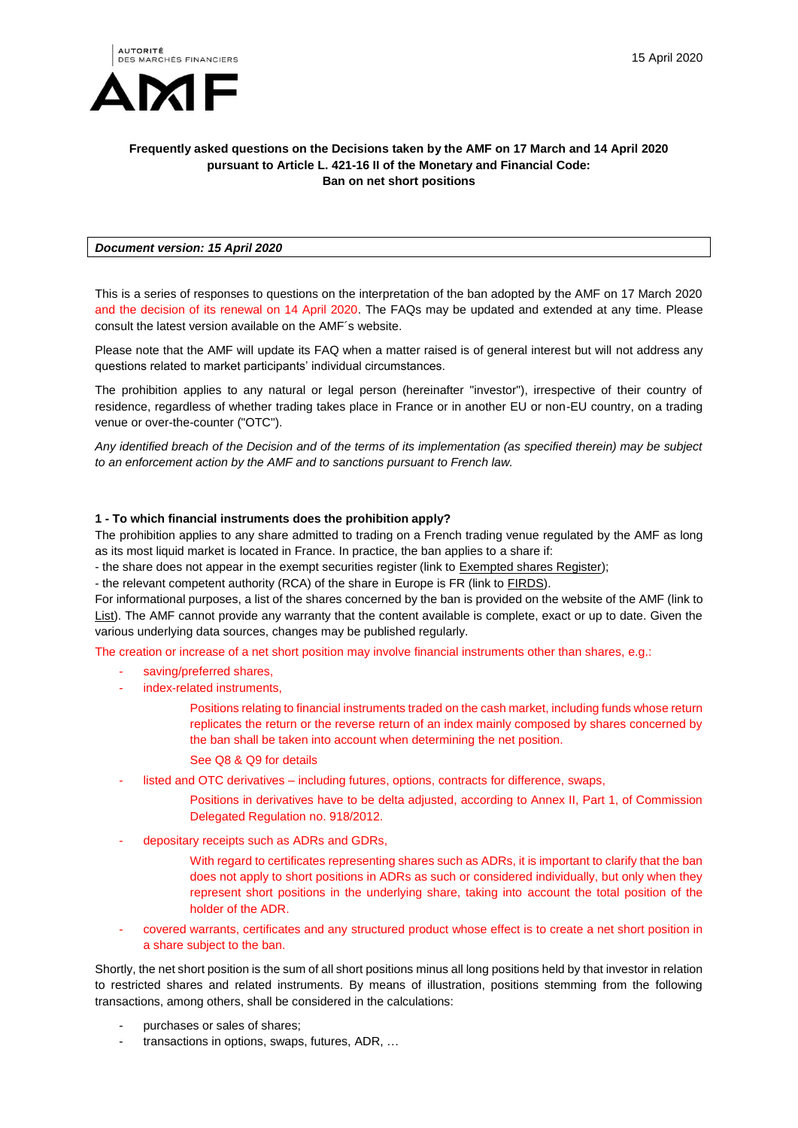

# **Frequently asked questions on the Decisions taken by the AMF on 17 March and 14 April 2020 pursuant to Article L. 421-16 II of the Monetary and Financial Code: Ban on net short positions**

## *Document version: 15 April 2020*

This is a series of responses to questions on the interpretation of the ban adopted by the AMF on 17 March 2020 and the decision of its renewal on 14 April 2020. The FAQs may be updated and extended at any time. Please consult the latest version available on the AMF´s website.

Please note that the AMF will update its FAQ when a matter raised is of general interest but will not address any questions related to market participants' individual circumstances.

The prohibition applies to any natural or legal person (hereinafter "investor"), irrespective of their country of residence, regardless of whether trading takes place in France or in another EU or non-EU country, on a trading venue or over-the-counter ("OTC").

*Any identified breach of the Decision and of the terms of its implementation (as specified therein) may be subject to an enforcement action by the AMF and to sanctions pursuant to French law.*

## **1 - To which financial instruments does the prohibition apply?**

The prohibition applies to any share admitted to trading on a French trading venue regulated by the AMF as long as its most liquid market is located in France. In practice, the ban applies to a share if:

- the share does not appear in the exempt securities register (link to [Exempted shares Register\)](http://registers.esma.europa.eu/publication/searchRegister?core=esma_registers_mifid_shsexs);

- the relevant competent authority (RCA) of the share in Europe is FR (link t[o FIRDS\)](https://registers.esma.europa.eu/publication/searchRegister?core=esma_registers_firds).

For informational purposes, a list of the shares concerned by the ban is provided on the website of the AMF (link to [List\)](https://www.amf-france.org/sites/default/files/2020-03/20200320_listeactionsconcerneesbanamf_fr.pdf). The AMF cannot provide any warranty that the content available is complete, exact or up to date. Given the various underlying data sources, changes may be published regularly.

The creation or increase of a net short position may involve financial instruments other than shares, e.g.:

- saving/preferred shares,
- index-related instruments,
	- Positions relating to financial instruments traded on the cash market, including funds whose return replicates the return or the reverse return of an index mainly composed by shares concerned by the ban shall be taken into account when determining the net position.
	- See Q8 & Q9 for details
- listed and OTC derivatives including futures, options, contracts for difference, swaps,
	- Positions in derivatives have to be delta adjusted, according to Annex II, Part 1, of Commission Delegated Regulation no. 918/2012.
- depositary receipts such as ADRs and GDRs,
	- With regard to certificates representing shares such as ADRs, it is important to clarify that the ban does not apply to short positions in ADRs as such or considered individually, but only when they represent short positions in the underlying share, taking into account the total position of the holder of the ADR.
- covered warrants, certificates and any structured product whose effect is to create a net short position in a share subject to the ban.

Shortly, the net short position is the sum of all short positions minus all long positions held by that investor in relation to restricted shares and related instruments. By means of illustration, positions stemming from the following transactions, among others, shall be considered in the calculations:

- purchases or sales of shares;
- transactions in options, swaps, futures, ADR, ...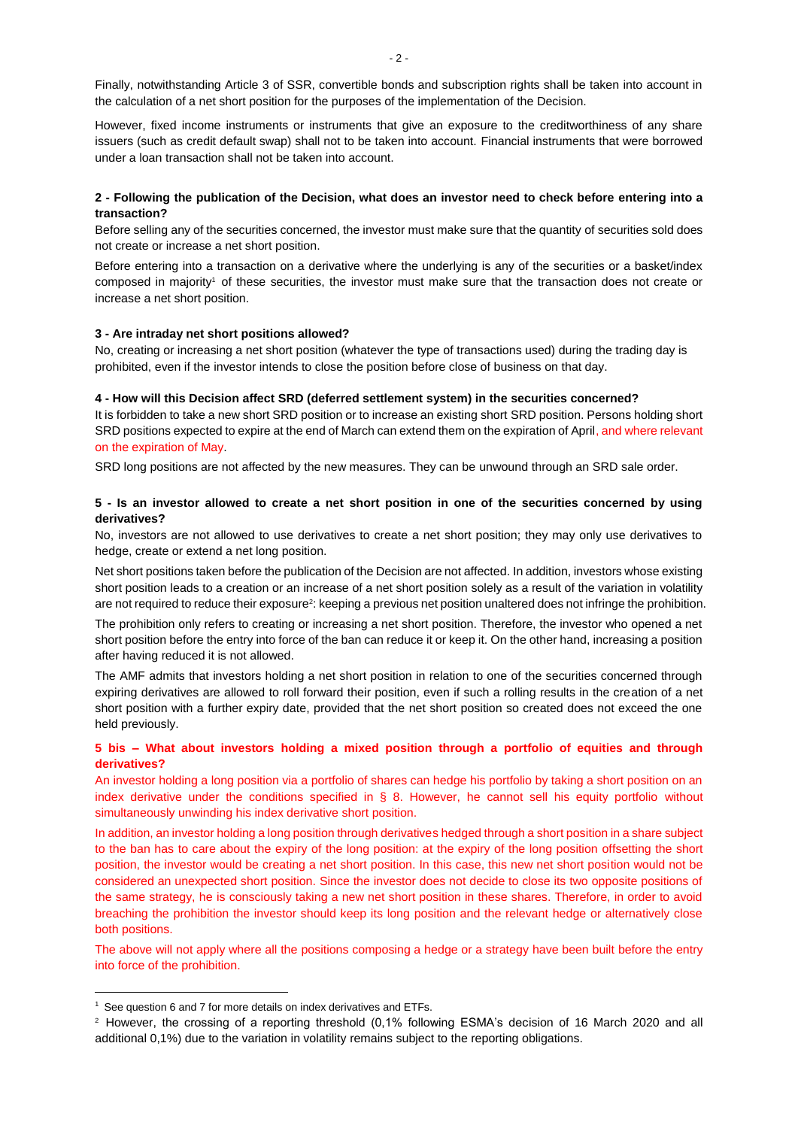Finally, notwithstanding Article 3 of SSR, convertible bonds and subscription rights shall be taken into account in the calculation of a net short position for the purposes of the implementation of the Decision.

However, fixed income instruments or instruments that give an exposure to the creditworthiness of any share issuers (such as credit default swap) shall not to be taken into account. Financial instruments that were borrowed under a loan transaction shall not be taken into account.

## **2 - Following the publication of the Decision, what does an investor need to check before entering into a transaction?**

Before selling any of the securities concerned, the investor must make sure that the quantity of securities sold does not create or increase a net short position.

Before entering into a transaction on a derivative where the underlying is any of the securities or a basket/index composed in majority<sup>1</sup> of these securities, the investor must make sure that the transaction does not create or increase a net short position.

#### **3 - Are intraday net short positions allowed?**

No, creating or increasing a net short position (whatever the type of transactions used) during the trading day is prohibited, even if the investor intends to close the position before close of business on that day.

#### **4 - How will this Decision affect SRD (deferred settlement system) in the securities concerned?**

It is forbidden to take a new short SRD position or to increase an existing short SRD position. Persons holding short SRD positions expected to expire at the end of March can extend them on the expiration of April, and where relevant on the expiration of May.

SRD long positions are not affected by the new measures. They can be unwound through an SRD sale order.

### **5 - Is an investor allowed to create a net short position in one of the securities concerned by using derivatives?**

No, investors are not allowed to use derivatives to create a net short position; they may only use derivatives to hedge, create or extend a net long position.

Net short positions taken before the publication of the Decision are not affected. In addition, investors whose existing short position leads to a creation or an increase of a net short position solely as a result of the variation in volatility are not required to reduce their exposure<sup>2</sup>: keeping a previous net position unaltered does not infringe the prohibition.

The prohibition only refers to creating or increasing a net short position. Therefore, the investor who opened a net short position before the entry into force of the ban can reduce it or keep it. On the other hand, increasing a position after having reduced it is not allowed.

The AMF admits that investors holding a net short position in relation to one of the securities concerned through expiring derivatives are allowed to roll forward their position, even if such a rolling results in the creation of a net short position with a further expiry date, provided that the net short position so created does not exceed the one held previously.

# **5 bis – What about investors holding a mixed position through a portfolio of equities and through derivatives?**

An investor holding a long position via a portfolio of shares can hedge his portfolio by taking a short position on an index derivative under the conditions specified in § 8. However, he cannot sell his equity portfolio without simultaneously unwinding his index derivative short position.

In addition, an investor holding a long position through derivatives hedged through a short position in a share subject to the ban has to care about the expiry of the long position: at the expiry of the long position offsetting the short position, the investor would be creating a net short position. In this case, this new net short position would not be considered an unexpected short position. Since the investor does not decide to close its two opposite positions of the same strategy, he is consciously taking a new net short position in these shares. Therefore, in order to avoid breaching the prohibition the investor should keep its long position and the relevant hedge or alternatively close both positions.

The above will not apply where all the positions composing a hedge or a strategy have been built before the entry into force of the prohibition.

 $\overline{a}$ 

<sup>&</sup>lt;sup>1</sup> See question 6 and 7 for more details on index derivatives and ETFs.

<sup>2</sup> However, the crossing of a reporting threshold (0,1% following ESMA's decision of 16 March 2020 and all additional 0,1%) due to the variation in volatility remains subject to the reporting obligations.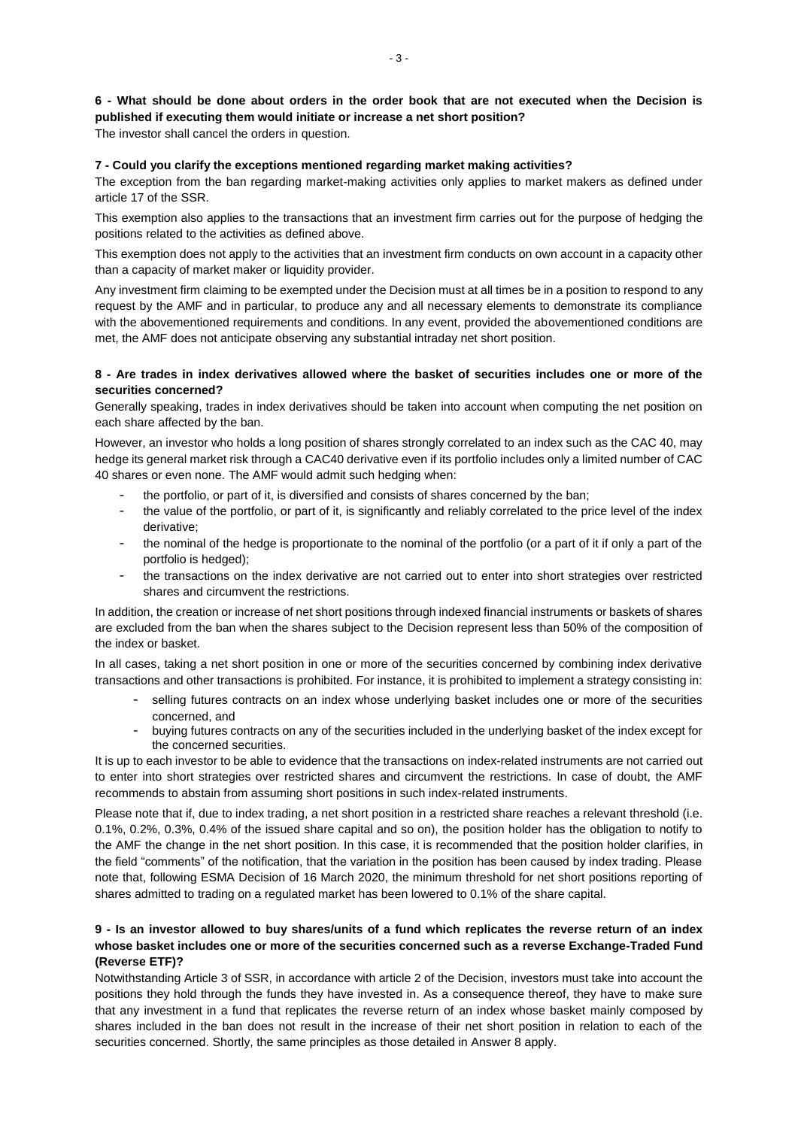# **6 - What should be done about orders in the order book that are not executed when the Decision is published if executing them would initiate or increase a net short position?**

The investor shall cancel the orders in question.

#### **7 - Could you clarify the exceptions mentioned regarding market making activities?**

The exception from the ban regarding market-making activities only applies to market makers as defined under article 17 of the SSR.

This exemption also applies to the transactions that an investment firm carries out for the purpose of hedging the positions related to the activities as defined above.

This exemption does not apply to the activities that an investment firm conducts on own account in a capacity other than a capacity of market maker or liquidity provider.

Any investment firm claiming to be exempted under the Decision must at all times be in a position to respond to any request by the AMF and in particular, to produce any and all necessary elements to demonstrate its compliance with the abovementioned requirements and conditions. In any event, provided the abovementioned conditions are met, the AMF does not anticipate observing any substantial intraday net short position.

# **8 - Are trades in index derivatives allowed where the basket of securities includes one or more of the securities concerned?**

Generally speaking, trades in index derivatives should be taken into account when computing the net position on each share affected by the ban.

However, an investor who holds a long position of shares strongly correlated to an index such as the CAC 40, may hedge its general market risk through a CAC40 derivative even if its portfolio includes only a limited number of CAC 40 shares or even none. The AMF would admit such hedging when:

- the portfolio, or part of it, is diversified and consists of shares concerned by the ban;
- the value of the portfolio, or part of it, is significantly and reliably correlated to the price level of the index derivative;
- the nominal of the hedge is proportionate to the nominal of the portfolio (or a part of it if only a part of the portfolio is hedged);
- the transactions on the index derivative are not carried out to enter into short strategies over restricted shares and circumvent the restrictions.

In addition, the creation or increase of net short positions through indexed financial instruments or baskets of shares are excluded from the ban when the shares subject to the Decision represent less than 50% of the composition of the index or basket.

In all cases, taking a net short position in one or more of the securities concerned by combining index derivative transactions and other transactions is prohibited. For instance, it is prohibited to implement a strategy consisting in:

- selling futures contracts on an index whose underlying basket includes one or more of the securities concerned, and
- buying futures contracts on any of the securities included in the underlying basket of the index except for the concerned securities.

It is up to each investor to be able to evidence that the transactions on index-related instruments are not carried out to enter into short strategies over restricted shares and circumvent the restrictions. In case of doubt, the AMF recommends to abstain from assuming short positions in such index-related instruments.

Please note that if, due to index trading, a net short position in a restricted share reaches a relevant threshold (i.e. 0.1%, 0.2%, 0.3%, 0.4% of the issued share capital and so on), the position holder has the obligation to notify to the AMF the change in the net short position. In this case, it is recommended that the position holder clarifies, in the field "comments" of the notification, that the variation in the position has been caused by index trading. Please note that, following ESMA Decision of 16 March 2020, the minimum threshold for net short positions reporting of shares admitted to trading on a regulated market has been lowered to 0.1% of the share capital.

# **9 - Is an investor allowed to buy shares/units of a fund which replicates the reverse return of an index whose basket includes one or more of the securities concerned such as a reverse Exchange-Traded Fund (Reverse ETF)?**

Notwithstanding Article 3 of SSR, in accordance with article 2 of the Decision, investors must take into account the positions they hold through the funds they have invested in. As a consequence thereof, they have to make sure that any investment in a fund that replicates the reverse return of an index whose basket mainly composed by shares included in the ban does not result in the increase of their net short position in relation to each of the securities concerned. Shortly, the same principles as those detailed in Answer 8 apply.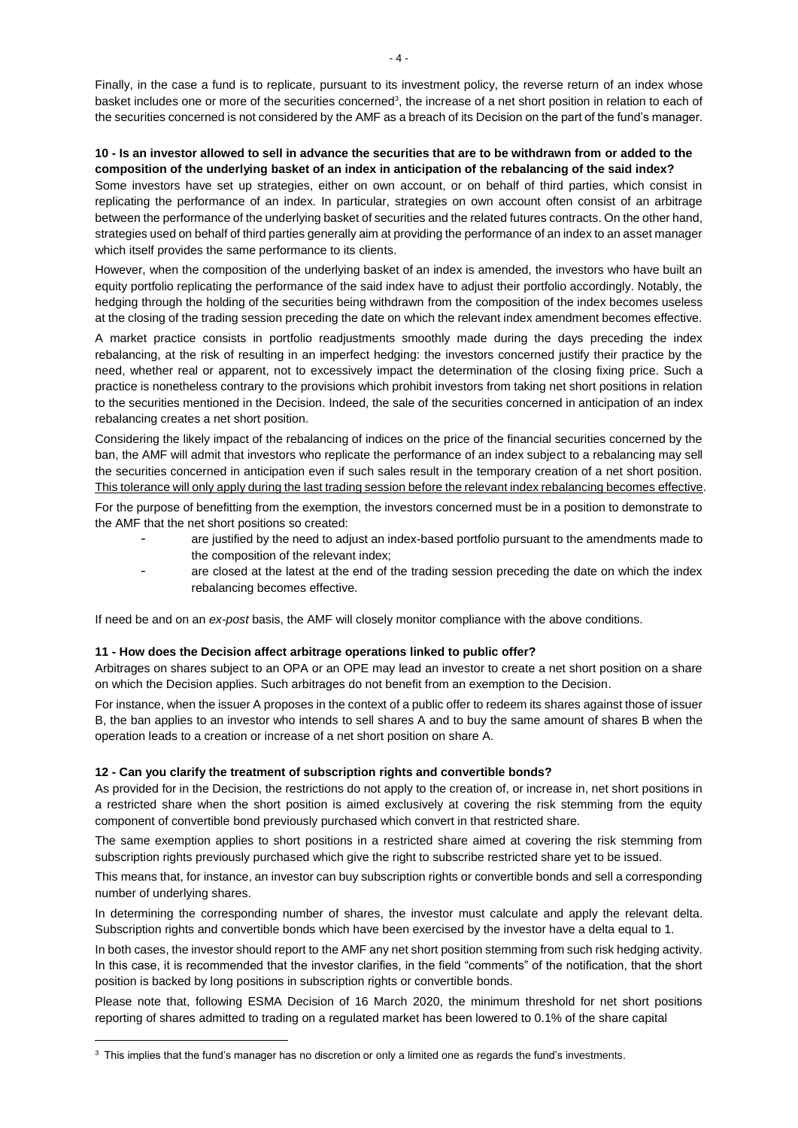Finally, in the case a fund is to replicate, pursuant to its investment policy, the reverse return of an index whose basket includes one or more of the securities concerned<sup>3</sup>, the increase of a net short position in relation to each of the securities concerned is not considered by the AMF as a breach of its Decision on the part of the fund's manager.

### **10 - Is an investor allowed to sell in advance the securities that are to be withdrawn from or added to the composition of the underlying basket of an index in anticipation of the rebalancing of the said index?**

Some investors have set up strategies, either on own account, or on behalf of third parties, which consist in replicating the performance of an index. In particular, strategies on own account often consist of an arbitrage between the performance of the underlying basket of securities and the related futures contracts. On the other hand, strategies used on behalf of third parties generally aim at providing the performance of an index to an asset manager which itself provides the same performance to its clients.

However, when the composition of the underlying basket of an index is amended, the investors who have built an equity portfolio replicating the performance of the said index have to adjust their portfolio accordingly. Notably, the hedging through the holding of the securities being withdrawn from the composition of the index becomes useless at the closing of the trading session preceding the date on which the relevant index amendment becomes effective.

A market practice consists in portfolio readjustments smoothly made during the days preceding the index rebalancing, at the risk of resulting in an imperfect hedging: the investors concerned justify their practice by the need, whether real or apparent, not to excessively impact the determination of the closing fixing price. Such a practice is nonetheless contrary to the provisions which prohibit investors from taking net short positions in relation to the securities mentioned in the Decision. Indeed, the sale of the securities concerned in anticipation of an index rebalancing creates a net short position.

Considering the likely impact of the rebalancing of indices on the price of the financial securities concerned by the ban, the AMF will admit that investors who replicate the performance of an index subject to a rebalancing may sell the securities concerned in anticipation even if such sales result in the temporary creation of a net short position. This tolerance will only apply during the last trading session before the relevant index rebalancing becomes effective.

For the purpose of benefitting from the exemption, the investors concerned must be in a position to demonstrate to the AMF that the net short positions so created:

- are justified by the need to adjust an index-based portfolio pursuant to the amendments made to the composition of the relevant index;
- are closed at the latest at the end of the trading session preceding the date on which the index rebalancing becomes effective.

If need be and on an *ex-post* basis, the AMF will closely monitor compliance with the above conditions.

#### **11 - How does the Decision affect arbitrage operations linked to public offer?**

Arbitrages on shares subject to an OPA or an OPE may lead an investor to create a net short position on a share on which the Decision applies. Such arbitrages do not benefit from an exemption to the Decision.

For instance, when the issuer A proposes in the context of a public offer to redeem its shares against those of issuer B, the ban applies to an investor who intends to sell shares A and to buy the same amount of shares B when the operation leads to a creation or increase of a net short position on share A.

#### **12 - Can you clarify the treatment of subscription rights and convertible bonds?**

As provided for in the Decision, the restrictions do not apply to the creation of, or increase in, net short positions in a restricted share when the short position is aimed exclusively at covering the risk stemming from the equity component of convertible bond previously purchased which convert in that restricted share.

The same exemption applies to short positions in a restricted share aimed at covering the risk stemming from subscription rights previously purchased which give the right to subscribe restricted share yet to be issued.

This means that, for instance, an investor can buy subscription rights or convertible bonds and sell a corresponding number of underlying shares.

In determining the corresponding number of shares, the investor must calculate and apply the relevant delta. Subscription rights and convertible bonds which have been exercised by the investor have a delta equal to 1.

In both cases, the investor should report to the AMF any net short position stemming from such risk hedging activity. In this case, it is recommended that the investor clarifies, in the field "comments" of the notification, that the short position is backed by long positions in subscription rights or convertible bonds.

Please note that, following ESMA Decision of 16 March 2020, the minimum threshold for net short positions reporting of shares admitted to trading on a regulated market has been lowered to 0.1% of the share capital

 $\overline{a}$ 

<sup>&</sup>lt;sup>3</sup> This implies that the fund's manager has no discretion or only a limited one as regards the fund's investments.